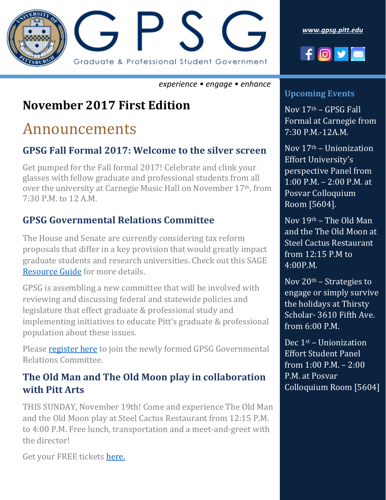

*experience • engage • enhance*

### **November 2017 First Edition**

## Announcements

### **GPSG Fall Formal 2017: Welcome to the silver screen**

Get pumped for the Fall formal 2017! Celebrate and clink your glasses with fellow graduate and professional students from all over the university at Carnegie Music Hall on November 17<sup>th</sup>, from 7:30 P.M. to 12 A.M.

### **GPSG Governmental Relations Committee**

The House and Senate are currently considering tax reform proposals that differ in a key provision that would greatly impact graduate students and research universities. Check out this SAGE [Resource Guide](https://gpsg.pitt.edu/wp-content/uploads/2017/11/Action-Alert-Tax-Reform.pdf) for more details.

GPSG is assembling a new committee that will be involved with reviewing and discussing federal and statewide policies and legislature that effect graduate & professional study and implementing initiatives to educate Pitt's graduate & professional population about these issues.

Please **register here** to join the newly formed GPSG Governmental Relations Committee.

### **The Old Man and The Old Moon play in collaboration with Pitt Arts**

THIS SUNDAY, November 19th! Come and experience The Old Man and the Old Moon play at Steel Cactus Restaurant from 12:15 P.M. to 4:00 P.M. Free lunch, transportation and a meet-and-greet with the director!

Get your FREE tickets [here.](file:///C:/Users/vir40/Downloads/buytickets.at/gpsg)





#### **Upcoming Events**

Nov 17th – GPSG Fall Formal at Carnegie from 7:30 P.M.-12A.M.

Nov 17th – Unionization Effort University's perspective Panel from 1:00 P.M. – 2:00 P.M. at Posvar Colloquium Room [5604].

Nov 19th – The Old Man and the The Old Moon at Steel Cactus Restaurant from 12:15 P.M to 4:00P.M.

Nov  $20<sup>th</sup>$  – Strategies to engage or simply survive the holidays at Thirsty Scholar- 3610 Fifth Ave. from 6:00 P.M.

Dec 1st – Unionization Effort Student Panel from 1:00 P.M. – 2:00 P.M. at Posvar Colloquium Room [5604]